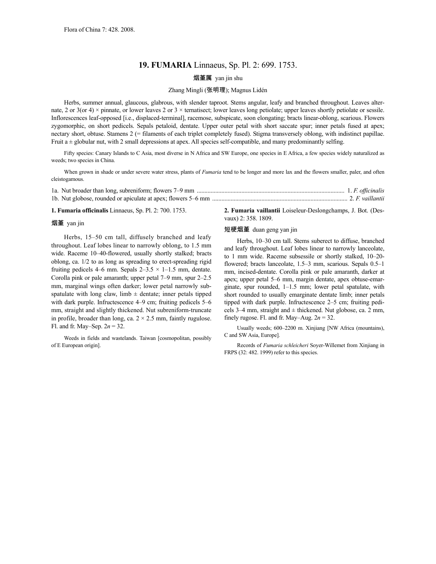# **19. FUMARIA** Linnaeus, Sp. Pl. 2: 699. 1753.

## 烟堇属 yan jin shu

### Zhang Mingli (张明理); Magnus Lidén

Herbs, summer annual, glaucous, glabrous, with slender taproot. Stems angular, leafy and branched throughout. Leaves alternate, 2 or 3(or 4)  $\times$  pinnate, or lower leaves 2 or 3  $\times$  ternatisect; lower leaves long petiolate; upper leaves shortly petiolate or sessile. Inflorescences leaf-opposed [i.e., displaced-terminal], racemose, subspicate, soon elongating; bracts linear-oblong, scarious. Flowers zygomorphic, on short pedicels. Sepals petaloid, dentate. Upper outer petal with short saccate spur; inner petals fused at apex; nectary short, obtuse. Stamens 2 (= filaments of each triplet completely fused). Stigma transversely oblong, with indistinct papillae. Fruit  $a \pm$  globular nut, with 2 small depressions at apex. All species self-compatible, and many predominantly selfing.

Fifty species: Canary Islands to C Asia, most diverse in N Africa and SW Europe, one species in E Africa, a few species widely naturalized as weeds; two species in China.

When grown in shade or under severe water stress, plants of *Fumaria* tend to be longer and more lax and the flowers smaller, paler, and often cleistogamous.

**1. Fumaria officinalis** Linnaeus, Sp. Pl. 2: 700. 1753.

#### 烟堇 yan jin

Herbs, 15–50 cm tall, diffusely branched and leafy throughout. Leaf lobes linear to narrowly oblong, to 1.5 mm wide. Raceme 10–40-flowered, usually shortly stalked; bracts oblong, ca. 1/2 to as long as spreading to erect-spreading rigid fruiting pedicels 4–6 mm. Sepals  $2-3.5 \times 1-1.5$  mm, dentate. Corolla pink or pale amaranth; upper petal 7–9 mm, spur 2–2.5 mm, marginal wings often darker; lower petal narrowly subspatulate with long claw, limb  $\pm$  dentate; inner petals tipped with dark purple. Infructescence 4–9 cm; fruiting pedicels 5–6 mm, straight and slightly thickened. Nut subreniform-truncate in profile, broader than long, ca.  $2 \times 2.5$  mm, faintly rugulose. Fl. and fr. May–Sep. 2*n* = 32.

Weeds in fields and wastelands. Taiwan [cosmopolitan, possibly of E European origin].

**2. Fumaria vaillantii** Loiseleur-Deslongchamps, J. Bot. (Desvaux) 2: 358. 1809.

## 短梗烟堇 duan geng yan jin

Herbs, 10–30 cm tall. Stems suberect to diffuse, branched and leafy throughout. Leaf lobes linear to narrowly lanceolate, to 1 mm wide. Raceme subsessile or shortly stalked, 10–20 flowered; bracts lanceolate, 1.5–3 mm, scarious. Sepals 0.5–1 mm, incised-dentate. Corolla pink or pale amaranth, darker at apex; upper petal 5–6 mm, margin dentate, apex obtuse-emarginate, spur rounded, 1–1.5 mm; lower petal spatulate, with short rounded to usually emarginate dentate limb; inner petals tipped with dark purple. Infructescence 2–5 cm; fruiting pedicels 3–4 mm, straight and  $\pm$  thickened. Nut globose, ca. 2 mm, finely rugose. Fl. and fr. May–Aug.  $2n = 32$ .

Usually weeds; 600–2200 m. Xinjiang [NW Africa (mountains), C and SW Asia, Europe].

Records of *Fumaria schleicheri* Soyer-Willemet from Xinjiang in FRPS (32: 482. 1999) refer to this species.